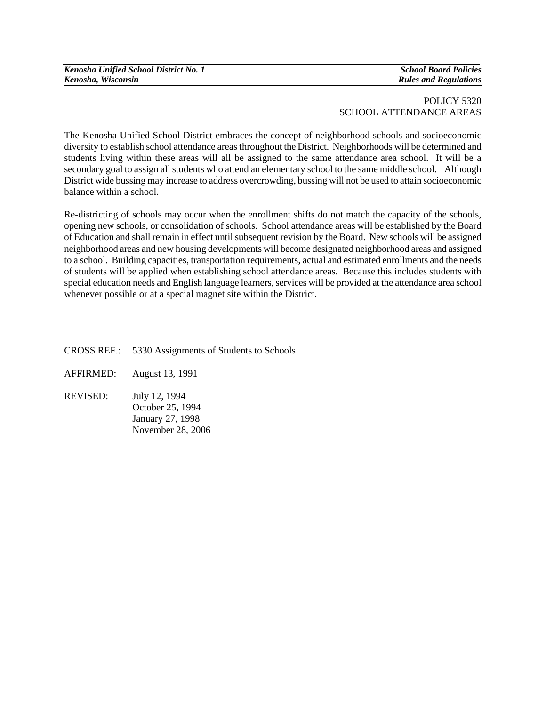| Kenosha Unified School District No. 1 |
|---------------------------------------|
| Kenosha, Wisconsin                    |

*Kenosha Unified School District No. 1 School Board Policies Kenosha, Wisconsin Rules and Regulations* 

## POLICY 5320 SCHOOL ATTENDANCE AREAS

The Kenosha Unified School District embraces the concept of neighborhood schools and socioeconomic diversity to establish school attendance areas throughout the District. Neighborhoods will be determined and students living within these areas will all be assigned to the same attendance area school. It will be a secondary goal to assign all students who attend an elementary school to the same middle school. Although District wide bussing may increase to address overcrowding, bussing will not be used to attain socioeconomic balance within a school.

Re-districting of schools may occur when the enrollment shifts do not match the capacity of the schools, opening new schools, or consolidation of schools. School attendance areas will be established by the Board of Education and shall remain in effect until subsequent revision by the Board. New schools will be assigned neighborhood areas and new housing developments will become designated neighborhood areas and assigned to a school. Building capacities, transportation requirements, actual and estimated enrollments and the needs of students will be applied when establishing school attendance areas. Because this includes students with special education needs and English language learners, services will be provided at the attendance area school whenever possible or at a special magnet site within the District.

- CROSS REF.: 5330 Assignments of Students to Schools
- AFFIRMED: August 13, 1991
- REVISED: July 12, 1994 October 25, 1994 January 27, 1998 November 28, 2006